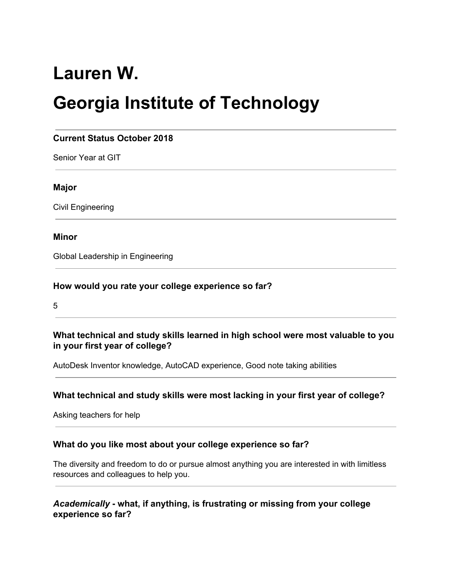# **Lauren W.**

# **Georgia Institute of Technology**

# **Current Status October 2018**

Senior Year at GIT

#### **Major**

Civil Engineering

#### **Minor**

Global Leadership in Engineering

#### **How would you rate your college experience so far?**

5

#### **What technical and study skills learned in high school were most valuable to you in your first year of college?**

AutoDesk Inventor knowledge, AutoCAD experience, Good note taking abilities

#### **What technical and study skills were most lacking in your first year of college?**

Asking teachers for help

#### **What do you like most about your college experience so far?**

The diversity and freedom to do or pursue almost anything you are interested in with limitless resources and colleagues to help you.

# *Academically* **- what, if anything, is frustrating or missing from your college experience so far?**